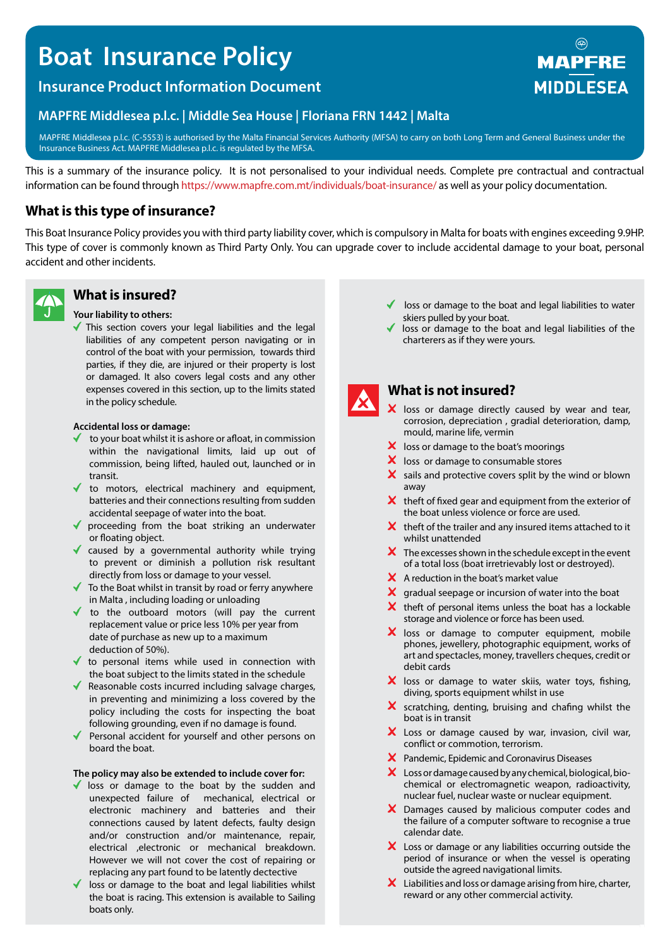# **Boat Insurance Policy**

# **Insurance Product Information Document**

## **MAPFRE Middlesea p.l.c. | Middle Sea House | Floriana FRN 1442 | Malta**

MAPFRE Middlesea p.l.c. (C-5553) is authorised by the Malta Financial Services Authority (MFSA) to carry on both Long Term and General Business under the Insurance Business Act. MAPFRE Middlesea p.l.c. is regulated by the MFSA.

This is a summary of the insurance policy. It is not personalised to your individual needs. Complete pre contractual and contractual information can be found through https://www.mapfre.com.mt/individuals/boat-insurance/ as well as your policy documentation.

## **What is this type of insurance?**

This Boat Insurance Policy provides you with third party liability cover, which is compulsory in Malta for boats with engines exceeding 9.9HP. This type of cover is commonly known as Third Party Only. You can upgrade cover to include accidental damage to your boat, personal accident and other incidents.



# **What is insured?**

#### **Your liability to others:**

This section covers your legal liabilities and the legal liabilities of any competent person navigating or in control of the boat with your permission, towards third parties, if they die, are injured or their property is lost or damaged. It also covers legal costs and any other expenses covered in this section, up to the limits stated in the policy schedule.

#### **Accidental loss or damage:**

- to your boat whilst it is ashore or afloat, in commission within the navigational limits, laid up out of commission, being lifted, hauled out, launched or in transit.
- to motors, electrical machinery and equipment, batteries and their connections resulting from sudden accidental seepage of water into the boat.
- ◆ proceeding from the boat striking an underwater or floating object.
- caused by a governmental authority while trying to prevent or diminish a pollution risk resultant directly from loss or damage to your vessel.
- ◆ To the Boat whilst in transit by road or ferry anywhere in Malta , including loading or unloading
- to the outboard motors (will pay the current replacement value or price less 10% per year from date of purchase as new up to a maximum deduction of 50%).
- $\blacklozenge$  to personal items while used in connection with the boat subject to the limits stated in the schedule
- ◆ Reasonable costs incurred including salvage charges, in preventing and minimizing a loss covered by the policy including the costs for inspecting the boat following grounding, even if no damage is found.
- Personal accident for yourself and other persons on board the boat.

#### **The policy may also be extended to include cover for:**

- I loss or damage to the boat by the sudden and unexpected failure of mechanical, electrical or electronic machinery and batteries and their connections caused by latent defects, faulty design and/or construction and/or maintenance, repair, electrical ,electronic or mechanical breakdown. However we will not cover the cost of repairing or replacing any part found to be latently dectective
- loss or damage to the boat and legal liabilities whilst the boat is racing. This extension is available to Sailing boats only.
- loss or damage to the boat and legal liabilities to water skiers pulled by your boat.
- loss or damage to the boat and legal liabilities of the charterers as if they were yours.



### **What is not insured?**

- X loss or damage directly caused by wear and tear, corrosion, depreciation , gradial deterioration, damp, mould, marine life, vermin
- $\mathsf{\times}$  loss or damage to the boat's moorings
- $\boldsymbol{\times}$  loss or damage to consumable stores
- $\boldsymbol{\times}$  sails and protective covers split by the wind or blown away
- $\mathsf{\times}\,$  theft of fixed gear and equipment from the exterior of the boat unless violence or force are used.
- $\boldsymbol{\times}$  theft of the trailer and any insured items attached to it whilst unattended
- $\boldsymbol{\times}$  The excesses shown in the schedule except in the event of a total loss (boat irretrievably lost or destroyed).
- $\boldsymbol{\times}$  A reduction in the boat's market value
- $\mathsf{\times}$  gradual seepage or incursion of water into the boat
- $\boldsymbol{\times}$  theft of personal items unless the boat has a lockable storage and violence or force has been used.
- X loss or damage to computer equipment, mobile phones, jewellery, photographic equipment, works of art and spectacles, money, travellers cheques, credit or debit cards
- X loss or damage to water skiis, water toys, fishing, diving, sports equipment whilst in use
- $\boldsymbol{\times}$  scratching, denting, bruising and chafing whilst the boat is in transit
- X Loss or damage caused by war, invasion, civil war, conflict or commotion, terrorism.
- Pandemic, Epidemic and Coronavirus Diseases
- $\boldsymbol{\times}$  Loss or damage caused by any chemical, biological, biochemical or electromagnetic weapon, radioactivity, nuclear fuel, nuclear waste or nuclear equipment.
- X Damages caused by malicious computer codes and the failure of a computer software to recognise a true calendar date.
- X Loss or damage or any liabilities occurring outside the period of insurance or when the vessel is operating outside the agreed navigational limits.
- $\boldsymbol{\times}$  Liabilities and loss or damage arising from hire, charter, reward or any other commercial activity.

# **MAPFRE MIDDLESEA**